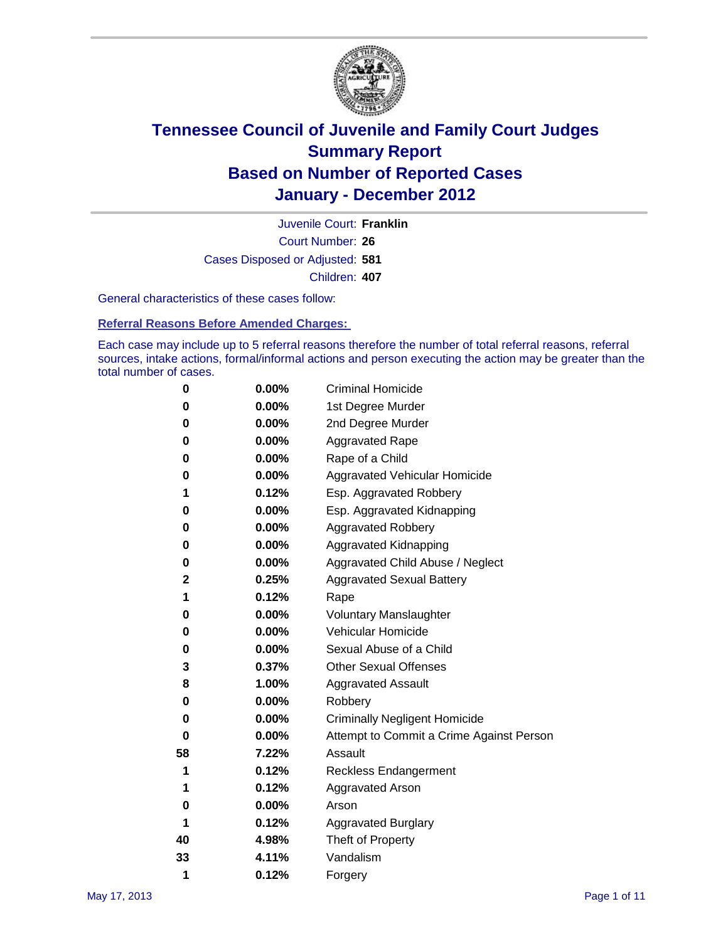

Court Number: **26** Juvenile Court: **Franklin** Cases Disposed or Adjusted: **581** Children: **407**

General characteristics of these cases follow:

**Referral Reasons Before Amended Charges:** 

Each case may include up to 5 referral reasons therefore the number of total referral reasons, referral sources, intake actions, formal/informal actions and person executing the action may be greater than the total number of cases.

| 0  | 0.00%    | <b>Criminal Homicide</b>                 |
|----|----------|------------------------------------------|
| 0  | 0.00%    | 1st Degree Murder                        |
| 0  | 0.00%    | 2nd Degree Murder                        |
| 0  | 0.00%    | <b>Aggravated Rape</b>                   |
| 0  | 0.00%    | Rape of a Child                          |
| 0  | 0.00%    | Aggravated Vehicular Homicide            |
| 1  | 0.12%    | Esp. Aggravated Robbery                  |
| 0  | 0.00%    | Esp. Aggravated Kidnapping               |
| 0  | 0.00%    | <b>Aggravated Robbery</b>                |
| 0  | 0.00%    | Aggravated Kidnapping                    |
| 0  | 0.00%    | Aggravated Child Abuse / Neglect         |
| 2  | 0.25%    | <b>Aggravated Sexual Battery</b>         |
| 1  | 0.12%    | Rape                                     |
| 0  | 0.00%    | <b>Voluntary Manslaughter</b>            |
| 0  | 0.00%    | Vehicular Homicide                       |
| 0  | 0.00%    | Sexual Abuse of a Child                  |
| 3  | 0.37%    | <b>Other Sexual Offenses</b>             |
| 8  | 1.00%    | <b>Aggravated Assault</b>                |
| 0  | $0.00\%$ | Robbery                                  |
| 0  | 0.00%    | <b>Criminally Negligent Homicide</b>     |
| 0  | 0.00%    | Attempt to Commit a Crime Against Person |
| 58 | 7.22%    | Assault                                  |
| 1  | 0.12%    | <b>Reckless Endangerment</b>             |
| 1  | 0.12%    | <b>Aggravated Arson</b>                  |
| 0  | 0.00%    | Arson                                    |
| 1  | 0.12%    | <b>Aggravated Burglary</b>               |
| 40 | 4.98%    | Theft of Property                        |
| 33 | 4.11%    | Vandalism                                |
| 1  | 0.12%    | Forgery                                  |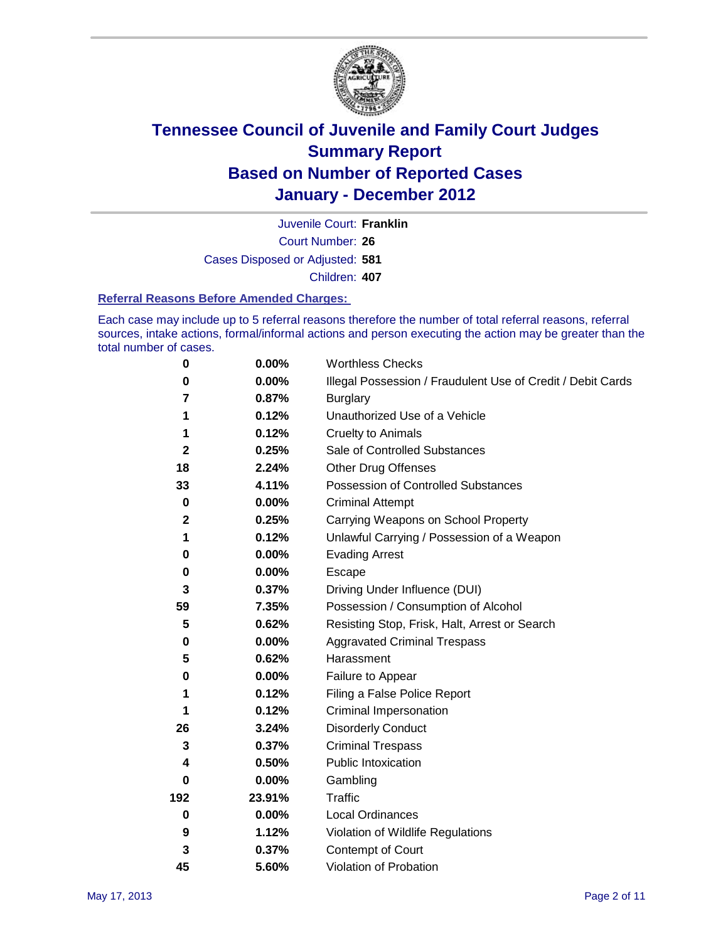

Court Number: **26** Juvenile Court: **Franklin** Cases Disposed or Adjusted: **581** Children: **407**

#### **Referral Reasons Before Amended Charges:**

Each case may include up to 5 referral reasons therefore the number of total referral reasons, referral sources, intake actions, formal/informal actions and person executing the action may be greater than the total number of cases.

| $\pmb{0}$   | 0.00%    | <b>Worthless Checks</b>                                     |
|-------------|----------|-------------------------------------------------------------|
| 0           | 0.00%    | Illegal Possession / Fraudulent Use of Credit / Debit Cards |
| 7           | 0.87%    | <b>Burglary</b>                                             |
| 1           | 0.12%    | Unauthorized Use of a Vehicle                               |
| 1           | 0.12%    | <b>Cruelty to Animals</b>                                   |
| 2           | 0.25%    | Sale of Controlled Substances                               |
| 18          | 2.24%    | <b>Other Drug Offenses</b>                                  |
| 33          | 4.11%    | Possession of Controlled Substances                         |
| $\mathbf 0$ | $0.00\%$ | <b>Criminal Attempt</b>                                     |
| $\mathbf 2$ | 0.25%    | Carrying Weapons on School Property                         |
| 1           | 0.12%    | Unlawful Carrying / Possession of a Weapon                  |
| 0           | $0.00\%$ | <b>Evading Arrest</b>                                       |
| 0           | $0.00\%$ | Escape                                                      |
| 3           | 0.37%    | Driving Under Influence (DUI)                               |
| 59          | 7.35%    | Possession / Consumption of Alcohol                         |
| 5           | 0.62%    | Resisting Stop, Frisk, Halt, Arrest or Search               |
| 0           | $0.00\%$ | <b>Aggravated Criminal Trespass</b>                         |
| 5           | 0.62%    | Harassment                                                  |
| 0           | 0.00%    | Failure to Appear                                           |
| 1           | 0.12%    | Filing a False Police Report                                |
| 1           | 0.12%    | Criminal Impersonation                                      |
| 26          | 3.24%    | <b>Disorderly Conduct</b>                                   |
| 3           | 0.37%    | <b>Criminal Trespass</b>                                    |
| 4           | 0.50%    | <b>Public Intoxication</b>                                  |
| 0           | $0.00\%$ | Gambling                                                    |
| 192         | 23.91%   | <b>Traffic</b>                                              |
| $\mathbf 0$ | $0.00\%$ | Local Ordinances                                            |
| 9           | 1.12%    | Violation of Wildlife Regulations                           |
| 3           | 0.37%    | Contempt of Court                                           |
| 45          | 5.60%    | Violation of Probation                                      |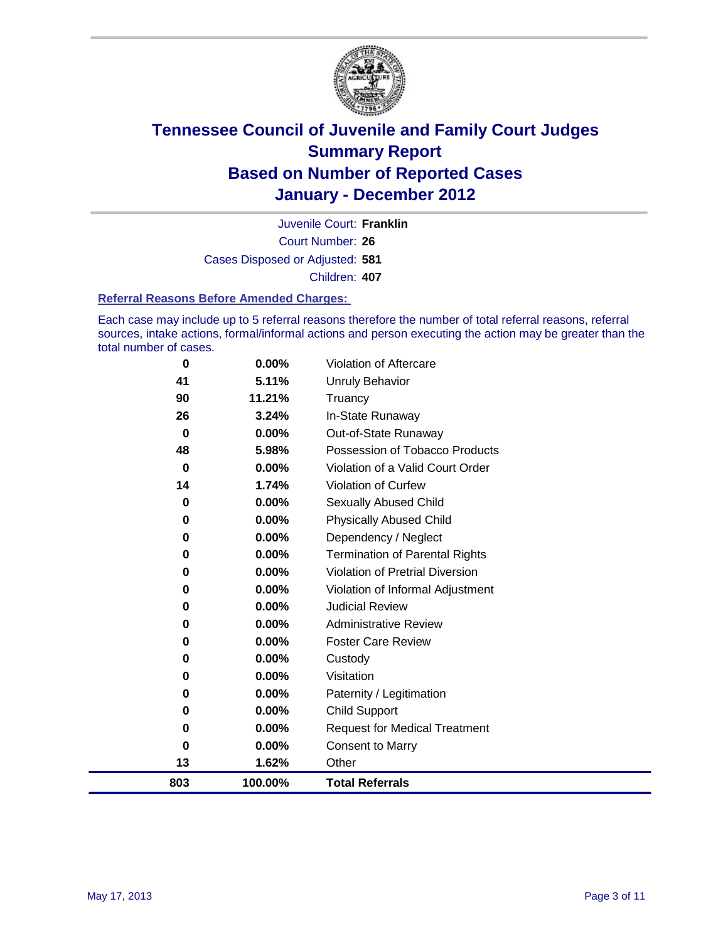

Court Number: **26** Juvenile Court: **Franklin** Cases Disposed or Adjusted: **581** Children: **407**

#### **Referral Reasons Before Amended Charges:**

Each case may include up to 5 referral reasons therefore the number of total referral reasons, referral sources, intake actions, formal/informal actions and person executing the action may be greater than the total number of cases.

| 0        | 0.00%    | Violation of Aftercare                 |
|----------|----------|----------------------------------------|
| 41       | 5.11%    | <b>Unruly Behavior</b>                 |
| 90       | 11.21%   | Truancy                                |
| 26       | 3.24%    | In-State Runaway                       |
| $\bf{0}$ | $0.00\%$ | Out-of-State Runaway                   |
| 48       | 5.98%    | Possession of Tobacco Products         |
| 0        | $0.00\%$ | Violation of a Valid Court Order       |
| 14       | 1.74%    | Violation of Curfew                    |
| $\bf{0}$ | $0.00\%$ | Sexually Abused Child                  |
| 0        | 0.00%    | <b>Physically Abused Child</b>         |
| 0        | 0.00%    | Dependency / Neglect                   |
| 0        | 0.00%    | <b>Termination of Parental Rights</b>  |
| 0        | 0.00%    | <b>Violation of Pretrial Diversion</b> |
| 0        | 0.00%    | Violation of Informal Adjustment       |
| 0        | $0.00\%$ | <b>Judicial Review</b>                 |
| 0        | $0.00\%$ | <b>Administrative Review</b>           |
| 0        | 0.00%    | <b>Foster Care Review</b>              |
| 0        | $0.00\%$ | Custody                                |
| 0        | $0.00\%$ | Visitation                             |
| 0        | $0.00\%$ | Paternity / Legitimation               |
| 0        | 0.00%    | <b>Child Support</b>                   |
| 0        | $0.00\%$ | <b>Request for Medical Treatment</b>   |
| 0        | $0.00\%$ | <b>Consent to Marry</b>                |
| 13       | 1.62%    | Other                                  |
| 803      | 100.00%  | <b>Total Referrals</b>                 |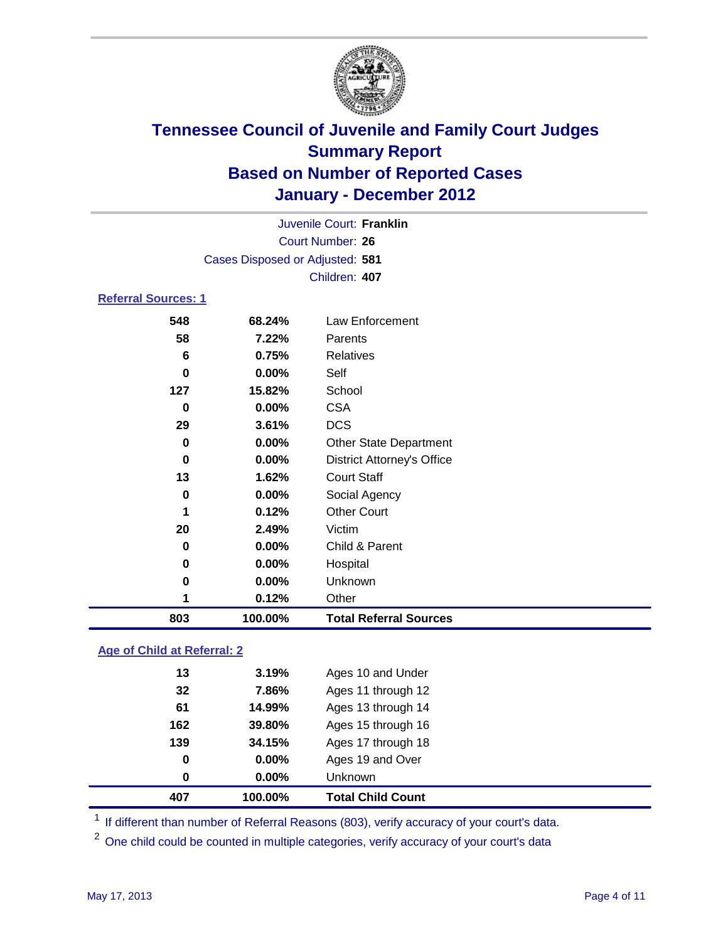

|                                 | Juvenile Court: Franklin |                                   |  |  |  |
|---------------------------------|--------------------------|-----------------------------------|--|--|--|
| <b>Court Number: 26</b>         |                          |                                   |  |  |  |
| Cases Disposed or Adjusted: 581 |                          |                                   |  |  |  |
|                                 |                          | Children: 407                     |  |  |  |
| <b>Referral Sources: 1</b>      |                          |                                   |  |  |  |
| 548                             | 68.24%                   | Law Enforcement                   |  |  |  |
| 58                              | 7.22%                    | Parents                           |  |  |  |
| 6                               | 0.75%                    | <b>Relatives</b>                  |  |  |  |
| $\bf{0}$                        | $0.00\%$                 | Self                              |  |  |  |
| 127                             | 15.82%                   | School                            |  |  |  |
| $\bf{0}$                        | 0.00%                    | <b>CSA</b>                        |  |  |  |
| 29                              | 3.61%                    | <b>DCS</b>                        |  |  |  |
| 0                               | 0.00%                    | <b>Other State Department</b>     |  |  |  |
| 0                               | 0.00%                    | <b>District Attorney's Office</b> |  |  |  |
| 13                              | 1.62%                    | <b>Court Staff</b>                |  |  |  |
| 0                               | $0.00\%$                 | Social Agency                     |  |  |  |
| 1                               | 0.12%                    | <b>Other Court</b>                |  |  |  |
| 20                              | 2.49%                    | Victim                            |  |  |  |
| 0                               | 0.00%                    | Child & Parent                    |  |  |  |
| 0                               | 0.00%                    | Hospital                          |  |  |  |
| 0                               | $0.00\%$                 | Unknown                           |  |  |  |
| 1                               | 0.12%                    | Other                             |  |  |  |
| 803                             | 100.00%                  | <b>Total Referral Sources</b>     |  |  |  |

### **Age of Child at Referral: 2**

| 407 | 100.00% | <b>Total Child Count</b> |
|-----|---------|--------------------------|
| 0   | 0.00%   | <b>Unknown</b>           |
| 0   | 0.00%   | Ages 19 and Over         |
| 139 | 34.15%  | Ages 17 through 18       |
| 162 | 39.80%  | Ages 15 through 16       |
| 61  | 14.99%  | Ages 13 through 14       |
| 32  | 7.86%   | Ages 11 through 12       |
| 13  | 3.19%   | Ages 10 and Under        |
|     |         |                          |

<sup>1</sup> If different than number of Referral Reasons (803), verify accuracy of your court's data.

<sup>2</sup> One child could be counted in multiple categories, verify accuracy of your court's data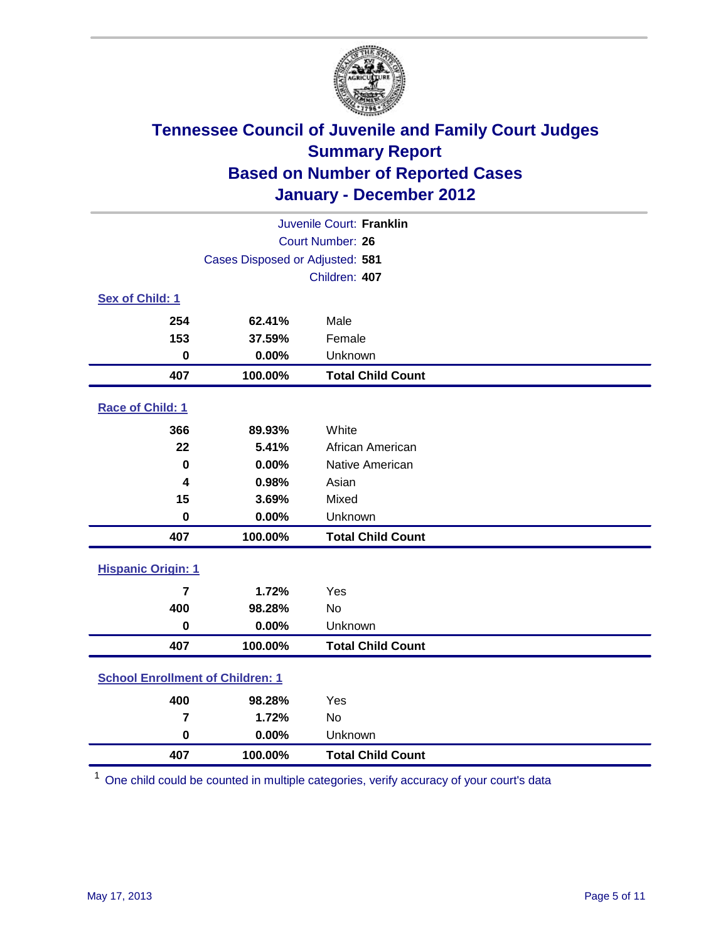

| Juvenile Court: Franklin                |                                 |                          |  |  |
|-----------------------------------------|---------------------------------|--------------------------|--|--|
| <b>Court Number: 26</b>                 |                                 |                          |  |  |
|                                         | Cases Disposed or Adjusted: 581 |                          |  |  |
|                                         |                                 | Children: 407            |  |  |
| Sex of Child: 1                         |                                 |                          |  |  |
| 254                                     | 62.41%                          | Male                     |  |  |
| 153                                     | 37.59%                          | Female                   |  |  |
| $\mathbf 0$                             | 0.00%                           | Unknown                  |  |  |
| 407                                     | 100.00%                         | <b>Total Child Count</b> |  |  |
| Race of Child: 1                        |                                 |                          |  |  |
| 366                                     | 89.93%                          | White                    |  |  |
| 22                                      | 5.41%                           | African American         |  |  |
| $\mathbf 0$                             | 0.00%                           | Native American          |  |  |
| 4                                       | 0.98%                           | Asian                    |  |  |
| 15                                      | 3.69%                           | Mixed                    |  |  |
| $\mathbf 0$                             | 0.00%                           | Unknown                  |  |  |
| 407                                     | 100.00%                         | <b>Total Child Count</b> |  |  |
| <b>Hispanic Origin: 1</b>               |                                 |                          |  |  |
| 7                                       | 1.72%                           | Yes                      |  |  |
| 400                                     | 98.28%                          | No                       |  |  |
| $\mathbf 0$                             | 0.00%                           | Unknown                  |  |  |
| 407                                     | 100.00%                         | <b>Total Child Count</b> |  |  |
| <b>School Enrollment of Children: 1</b> |                                 |                          |  |  |
| 400                                     | 98.28%                          | Yes                      |  |  |
| 7                                       | 1.72%                           | No                       |  |  |
| $\mathbf 0$                             | 0.00%                           | Unknown                  |  |  |
| 407                                     | 100.00%                         | <b>Total Child Count</b> |  |  |

One child could be counted in multiple categories, verify accuracy of your court's data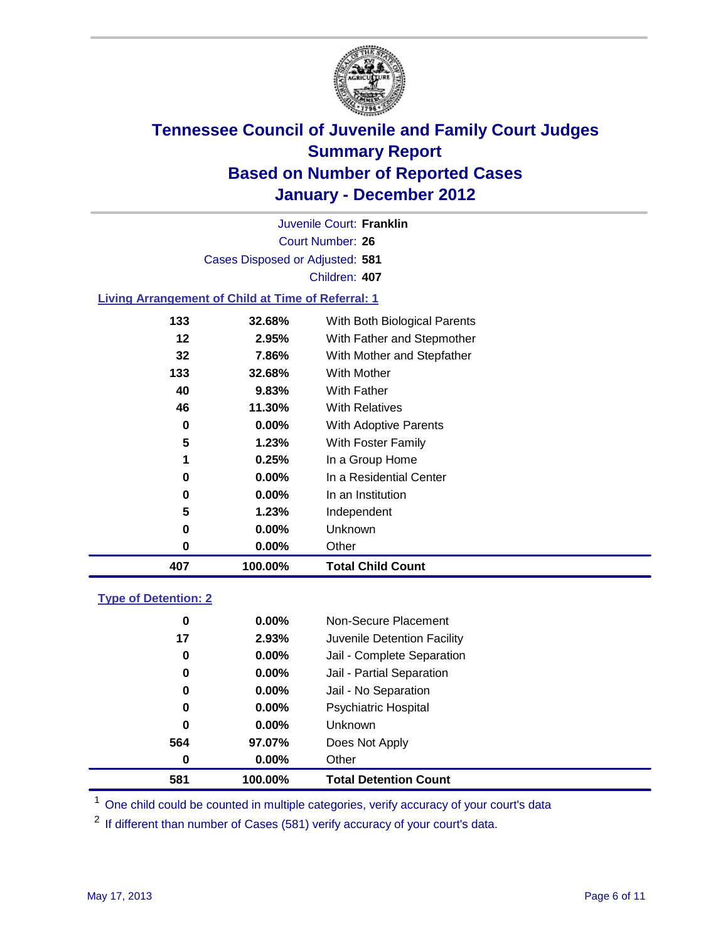

Court Number: **26** Juvenile Court: **Franklin** Cases Disposed or Adjusted: **581** Children: **407**

### **Living Arrangement of Child at Time of Referral: 1**

| 407 | 100.00%  | <b>Total Child Count</b>     |
|-----|----------|------------------------------|
| 0   | 0.00%    | Other                        |
| 0   | 0.00%    | Unknown                      |
| 5   | 1.23%    | Independent                  |
| 0   | $0.00\%$ | In an Institution            |
| 0   | $0.00\%$ | In a Residential Center      |
| 1   | 0.25%    | In a Group Home              |
| 5   | 1.23%    | With Foster Family           |
| 0   | $0.00\%$ | With Adoptive Parents        |
| 46  | 11.30%   | <b>With Relatives</b>        |
| 40  | 9.83%    | With Father                  |
| 133 | 32.68%   | With Mother                  |
| 32  | 7.86%    | With Mother and Stepfather   |
| 12  | 2.95%    | With Father and Stepmother   |
| 133 | 32.68%   | With Both Biological Parents |
|     |          |                              |

### **Type of Detention: 2**

| 581              | 100.00%  | <b>Total Detention Count</b> |  |
|------------------|----------|------------------------------|--|
| $\boldsymbol{0}$ | 0.00%    | Other                        |  |
| 564              | 97.07%   | Does Not Apply               |  |
| 0                | $0.00\%$ | Unknown                      |  |
| 0                | $0.00\%$ | Psychiatric Hospital         |  |
| 0                | 0.00%    | Jail - No Separation         |  |
| 0                | $0.00\%$ | Jail - Partial Separation    |  |
| 0                | $0.00\%$ | Jail - Complete Separation   |  |
| 17               | 2.93%    | Juvenile Detention Facility  |  |
| 0                | $0.00\%$ | Non-Secure Placement         |  |
|                  |          |                              |  |

<sup>1</sup> One child could be counted in multiple categories, verify accuracy of your court's data

<sup>2</sup> If different than number of Cases (581) verify accuracy of your court's data.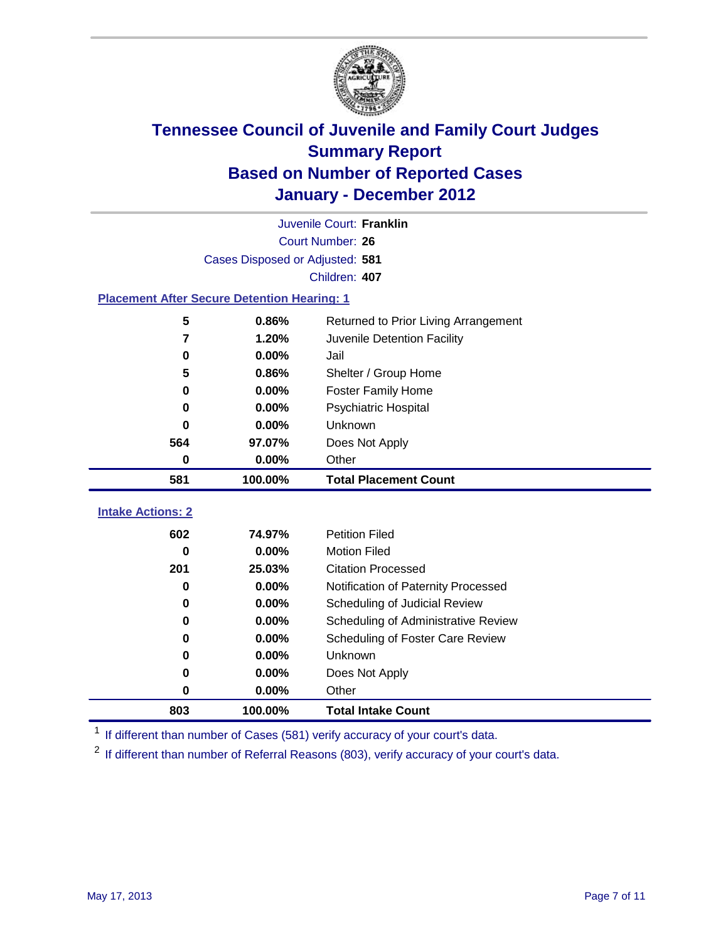

|                                                    | Juvenile Court: Franklin        |                                      |  |  |  |
|----------------------------------------------------|---------------------------------|--------------------------------------|--|--|--|
|                                                    | Court Number: 26                |                                      |  |  |  |
|                                                    | Cases Disposed or Adjusted: 581 |                                      |  |  |  |
|                                                    |                                 | Children: 407                        |  |  |  |
| <b>Placement After Secure Detention Hearing: 1</b> |                                 |                                      |  |  |  |
| 5                                                  | 0.86%                           | Returned to Prior Living Arrangement |  |  |  |
| 7                                                  | 1.20%                           | Juvenile Detention Facility          |  |  |  |
| 0                                                  | 0.00%                           | Jail                                 |  |  |  |
| 5                                                  | 0.86%                           | Shelter / Group Home                 |  |  |  |
| 0                                                  | 0.00%                           | <b>Foster Family Home</b>            |  |  |  |
| 0                                                  | 0.00%                           | Psychiatric Hospital                 |  |  |  |
| 0                                                  | 0.00%                           | <b>Unknown</b>                       |  |  |  |
| 564                                                | 97.07%                          | Does Not Apply                       |  |  |  |
| 0                                                  | 0.00%                           | Other                                |  |  |  |
| 581                                                | 100.00%                         | <b>Total Placement Count</b>         |  |  |  |
|                                                    |                                 |                                      |  |  |  |
| <b>Intake Actions: 2</b>                           |                                 |                                      |  |  |  |
| 602                                                | 74.97%                          | <b>Petition Filed</b>                |  |  |  |
| 0                                                  | 0.00%                           | <b>Motion Filed</b>                  |  |  |  |
| 201                                                | 25.03%                          | <b>Citation Processed</b>            |  |  |  |
| 0                                                  | 0.00%                           | Notification of Paternity Processed  |  |  |  |
| 0                                                  | 0.00%                           | Scheduling of Judicial Review        |  |  |  |
| 0                                                  | 0.00%                           | Scheduling of Administrative Review  |  |  |  |
| 0                                                  | 0.00%                           | Scheduling of Foster Care Review     |  |  |  |
| 0                                                  | 0.00%                           | Unknown                              |  |  |  |
| 0                                                  | 0.00%                           | Does Not Apply                       |  |  |  |
| 0                                                  | 0.00%                           | Other                                |  |  |  |
| 803                                                | 100.00%                         | <b>Total Intake Count</b>            |  |  |  |

<sup>1</sup> If different than number of Cases (581) verify accuracy of your court's data.

<sup>2</sup> If different than number of Referral Reasons (803), verify accuracy of your court's data.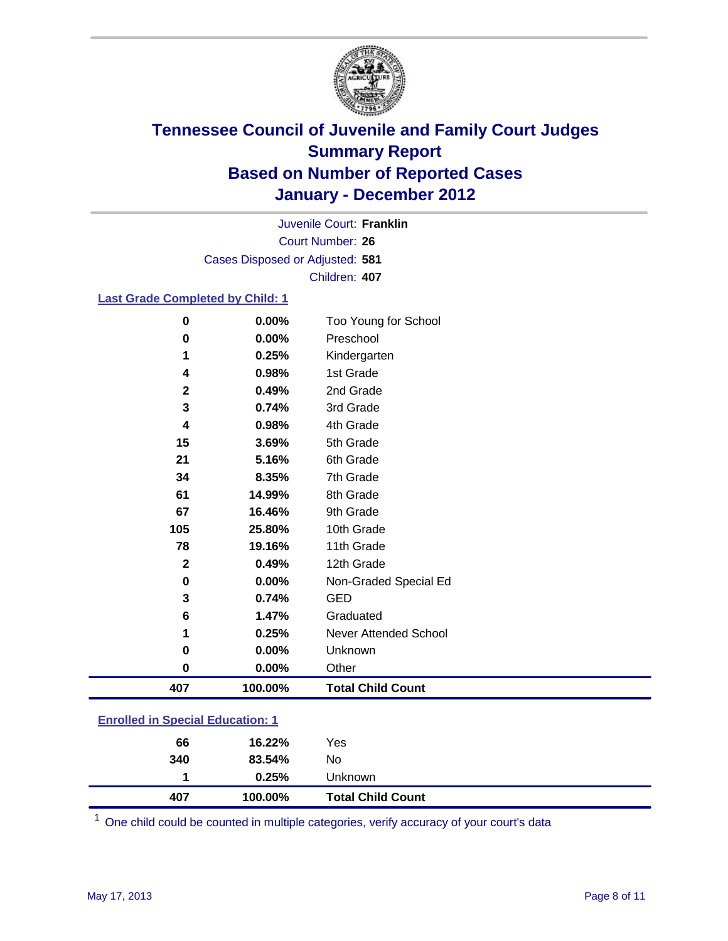

Court Number: **26** Juvenile Court: **Franklin** Cases Disposed or Adjusted: **581** Children: **407**

### **Last Grade Completed by Child: 1**

| 0                                       | 0.00%   | Too Young for School         |  |
|-----------------------------------------|---------|------------------------------|--|
| 0                                       | 0.00%   | Preschool                    |  |
| 1                                       | 0.25%   | Kindergarten                 |  |
| 4                                       | 0.98%   | 1st Grade                    |  |
| $\mathbf{2}$                            | 0.49%   | 2nd Grade                    |  |
| 3                                       | 0.74%   | 3rd Grade                    |  |
| 4                                       | 0.98%   | 4th Grade                    |  |
| 15                                      | 3.69%   | 5th Grade                    |  |
| 21                                      | 5.16%   | 6th Grade                    |  |
| 34                                      | 8.35%   | 7th Grade                    |  |
| 61                                      | 14.99%  | 8th Grade                    |  |
| 67                                      | 16.46%  | 9th Grade                    |  |
| 105                                     | 25.80%  | 10th Grade                   |  |
| 78                                      | 19.16%  | 11th Grade                   |  |
| $\mathbf{2}$                            | 0.49%   | 12th Grade                   |  |
| 0                                       | 0.00%   | Non-Graded Special Ed        |  |
| 3                                       | 0.74%   | <b>GED</b>                   |  |
| 6                                       | 1.47%   | Graduated                    |  |
| 1                                       | 0.25%   | <b>Never Attended School</b> |  |
| 0                                       | 0.00%   | Unknown                      |  |
| $\bf{0}$                                | 0.00%   | Other                        |  |
| 407                                     | 100.00% | <b>Total Child Count</b>     |  |
| <b>Enrolled in Special Education: 1</b> |         |                              |  |

| <b>Total Child Count</b> |
|--------------------------|
|                          |
|                          |
|                          |
|                          |

One child could be counted in multiple categories, verify accuracy of your court's data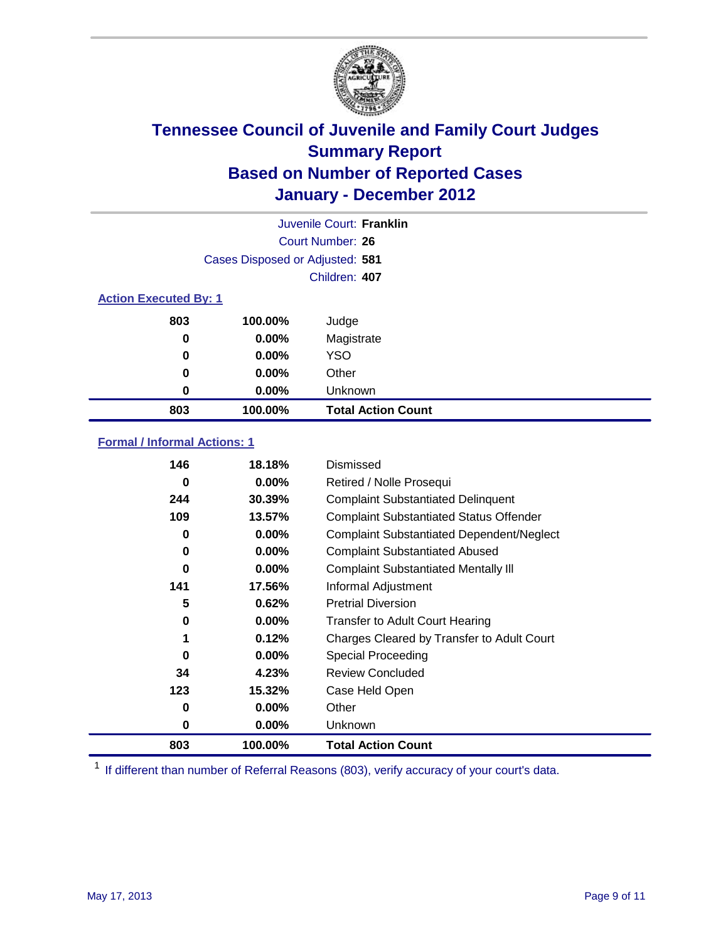

|                              | Juvenile Court: Franklin        |                           |  |  |  |
|------------------------------|---------------------------------|---------------------------|--|--|--|
| Court Number: 26             |                                 |                           |  |  |  |
|                              | Cases Disposed or Adjusted: 581 |                           |  |  |  |
|                              | Children: 407                   |                           |  |  |  |
| <b>Action Executed By: 1</b> |                                 |                           |  |  |  |
| 803                          | 100.00%                         | Judge                     |  |  |  |
| 0                            | $0.00\%$                        | Magistrate                |  |  |  |
| 0                            | $0.00\%$                        | <b>YSO</b>                |  |  |  |
| $\bf{0}$                     | $0.00\%$                        | Other                     |  |  |  |
| 0                            | $0.00\%$                        | Unknown                   |  |  |  |
| 803                          | 100.00%                         | <b>Total Action Count</b> |  |  |  |

### **Formal / Informal Actions: 1**

| 146      | 18.18%   | Dismissed                                        |
|----------|----------|--------------------------------------------------|
| 0        | $0.00\%$ | Retired / Nolle Prosequi                         |
| 244      | 30.39%   | <b>Complaint Substantiated Delinquent</b>        |
| 109      | 13.57%   | <b>Complaint Substantiated Status Offender</b>   |
| 0        | $0.00\%$ | <b>Complaint Substantiated Dependent/Neglect</b> |
| 0        | 0.00%    | <b>Complaint Substantiated Abused</b>            |
| $\bf{0}$ | $0.00\%$ | <b>Complaint Substantiated Mentally III</b>      |
| 141      | 17.56%   | Informal Adjustment                              |
| 5        | 0.62%    | <b>Pretrial Diversion</b>                        |
| 0        | $0.00\%$ | <b>Transfer to Adult Court Hearing</b>           |
| 1        | 0.12%    | Charges Cleared by Transfer to Adult Court       |
| 0        | $0.00\%$ | Special Proceeding                               |
| 34       | 4.23%    | <b>Review Concluded</b>                          |
| 123      | 15.32%   | Case Held Open                                   |
| 0        | $0.00\%$ | Other                                            |
| 0        | $0.00\%$ | <b>Unknown</b>                                   |
| 803      | 100.00%  | <b>Total Action Count</b>                        |

<sup>1</sup> If different than number of Referral Reasons (803), verify accuracy of your court's data.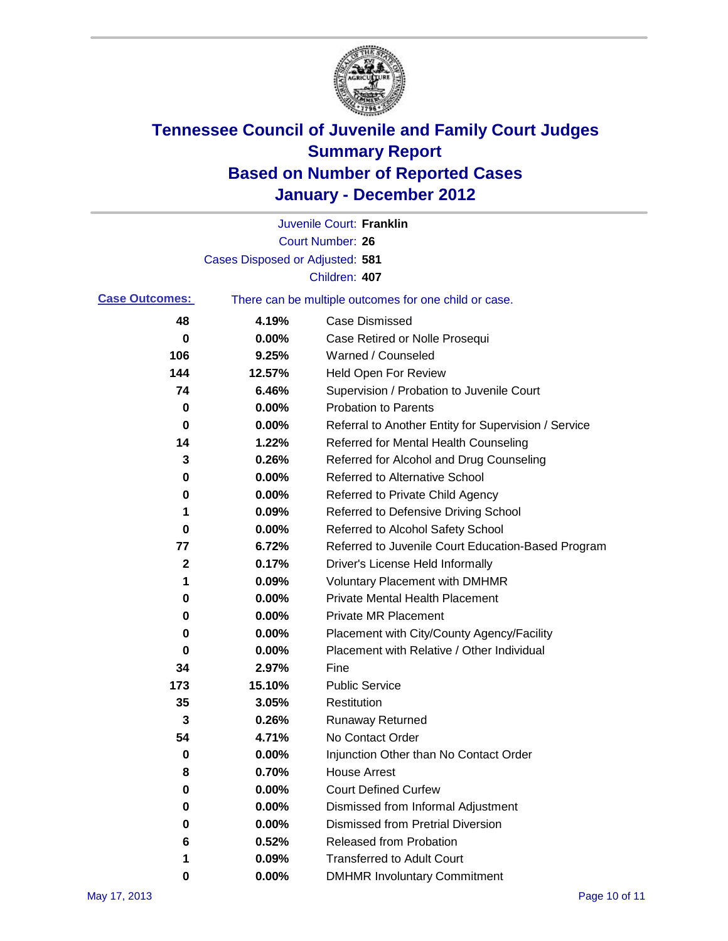

|                       |                                 | Juvenile Court: Franklin                              |
|-----------------------|---------------------------------|-------------------------------------------------------|
|                       |                                 | <b>Court Number: 26</b>                               |
|                       | Cases Disposed or Adjusted: 581 |                                                       |
|                       |                                 | Children: 407                                         |
| <b>Case Outcomes:</b> |                                 | There can be multiple outcomes for one child or case. |
| 48                    | 4.19%                           | <b>Case Dismissed</b>                                 |
| 0                     | 0.00%                           | Case Retired or Nolle Prosequi                        |
| 106                   | 9.25%                           | Warned / Counseled                                    |
| 144                   | 12.57%                          | <b>Held Open For Review</b>                           |
| 74                    | 6.46%                           | Supervision / Probation to Juvenile Court             |
| 0                     | 0.00%                           | <b>Probation to Parents</b>                           |
| 0                     | 0.00%                           | Referral to Another Entity for Supervision / Service  |
| 14                    | 1.22%                           | Referred for Mental Health Counseling                 |
| 3                     | 0.26%                           | Referred for Alcohol and Drug Counseling              |
| 0                     | 0.00%                           | <b>Referred to Alternative School</b>                 |
| 0                     | 0.00%                           | Referred to Private Child Agency                      |
| 1                     | 0.09%                           | Referred to Defensive Driving School                  |
| 0                     | 0.00%                           | Referred to Alcohol Safety School                     |
| 77                    | 6.72%                           | Referred to Juvenile Court Education-Based Program    |
| 2                     | 0.17%                           | Driver's License Held Informally                      |
| 1                     | 0.09%                           | <b>Voluntary Placement with DMHMR</b>                 |
| 0                     | 0.00%                           | <b>Private Mental Health Placement</b>                |
| 0                     | 0.00%                           | <b>Private MR Placement</b>                           |
| 0                     | 0.00%                           | Placement with City/County Agency/Facility            |
| 0                     | 0.00%                           | Placement with Relative / Other Individual            |
| 34                    | 2.97%                           | Fine                                                  |
| 173                   | 15.10%                          | <b>Public Service</b>                                 |
| 35                    | 3.05%                           | Restitution                                           |
| 3                     | 0.26%                           | Runaway Returned                                      |
| 54                    | 4.71%                           | No Contact Order                                      |
| $\pmb{0}$             | 0.00%                           | Injunction Other than No Contact Order                |
| 8                     | 0.70%                           | <b>House Arrest</b>                                   |
| 0                     | 0.00%                           | <b>Court Defined Curfew</b>                           |
| 0                     | 0.00%                           | Dismissed from Informal Adjustment                    |
| 0                     | 0.00%                           | <b>Dismissed from Pretrial Diversion</b>              |
| 6                     | 0.52%                           | Released from Probation                               |
| 1                     | 0.09%                           | <b>Transferred to Adult Court</b>                     |
| 0                     | $0.00\%$                        | <b>DMHMR Involuntary Commitment</b>                   |